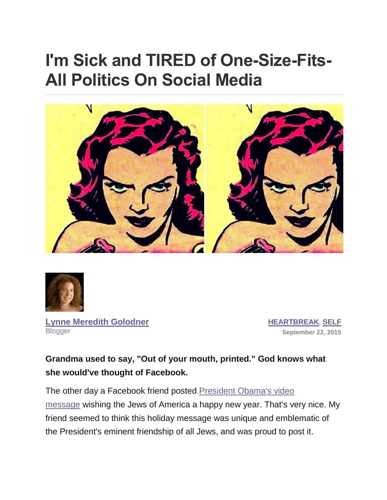# **I'm Sick and TIRED of One-Size-Fits-All Politics On Social Media**





**[Lynne Meredith Golodner](http://www.yourtango.com/users/lynne-meredith-golodner) Blogger** 

**[HEARTBREAK](http://www.yourtango.com/heartbreak)**, **[SELF](http://www.yourtango.com/self) September 22, 2015**

### **Grandma used to say, "Out of your mouth, printed." God knows what she would've thought of Facebook.**

The other day a Facebook friend posted [President Obama's video](http://www.timesofisrael.com/watch-obama-wishes-jews-a-happy-new-year/)  [message](http://www.timesofisrael.com/watch-obama-wishes-jews-a-happy-new-year/) wishing the Jews of America a happy new year. That's very nice. My friend seemed to think this holiday message was unique and emblematic of the President's eminent friendship of all Jews, and was proud to post it.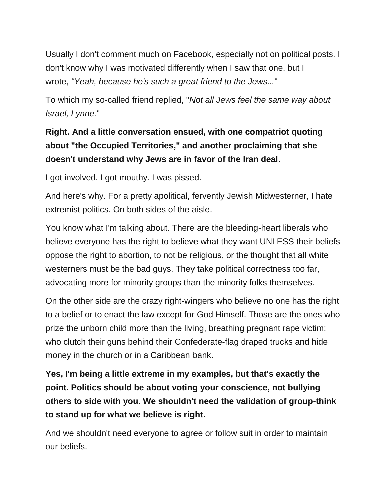Usually I don't comment much on Facebook, especially not on political posts. I don't know why I was motivated differently when I saw that one, but I wrote, *"Yeah, because he's such a great friend to the Jews...*"

To which my so-called friend replied, "*Not all Jews feel the same way about Israel, Lynne.*"

## **Right. And a little conversation ensued, with one compatriot quoting about "the Occupied Territories," and another proclaiming that she doesn't understand why Jews are in favor of the Iran deal.**

I got involved. I got mouthy. I was pissed.

And here's why. For a pretty apolitical, fervently Jewish Midwesterner, I hate extremist politics. On both sides of the aisle.

You know what I'm talking about. There are the bleeding-heart liberals who believe everyone has the right to believe what they want UNLESS their beliefs oppose the right to abortion, to not be religious, or the thought that all white westerners must be the bad guys. They take political correctness too far, advocating more for minority groups than the minority folks themselves.

On the other side are the crazy right-wingers who believe no one has the right to a belief or to enact the law except for God Himself. Those are the ones who prize the unborn child more than the living, breathing pregnant rape victim; who clutch their guns behind their Confederate-flag draped trucks and hide money in the church or in a Caribbean bank.

**Yes, I'm being a little extreme in my examples, but that's exactly the point. Politics should be about voting your conscience, not bullying others to side with you. We shouldn't need the validation of group-think to stand up for what we believe is right.**

And we shouldn't need everyone to agree or follow suit in order to maintain our beliefs.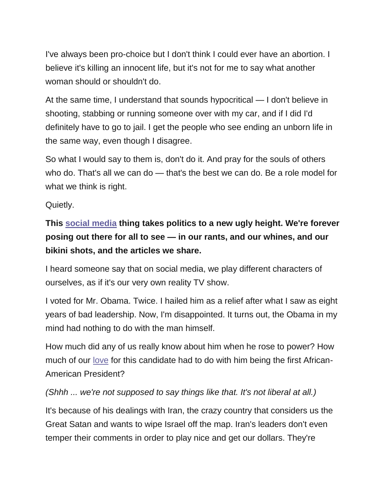I've always been pro-choice but I don't think I could ever have an abortion. I believe it's killing an innocent life, but it's not for me to say what another woman should or shouldn't do.

At the same time, I understand that sounds hypocritical — I don't believe in shooting, stabbing or running someone over with my car, and if I did I'd definitely have to go to jail. I get the people who see ending an unborn life in the same way, even though I disagree.

So what I would say to them is, don't do it. And pray for the souls of others who do. That's all we can do — that's the best we can do. Be a role model for what we think is right.

Quietly.

**This [social media](http://www.yourtango.com/social-media) thing takes politics to a new ugly height. We're forever posing out there for all to see — in our rants, and our whines, and our bikini shots, and the articles we share.**

I heard someone say that on social media, we play different characters of ourselves, as if it's our very own reality TV show.

I voted for Mr. Obama. Twice. I hailed him as a relief after what I saw as eight years of bad leadership. Now, I'm disappointed. It turns out, the Obama in my mind had nothing to do with the man himself.

How much did any of us really know about him when he rose to power? How much of our [love](http://www.yourtango.com/love) for this candidate had to do with him being the first African-American President?

#### *(Shhh ... we're not supposed to say things like that. It's not liberal at all.)*

It's because of his dealings with Iran, the crazy country that considers us the Great Satan and wants to wipe Israel off the map. Iran's leaders don't even temper their comments in order to play nice and get our dollars. They're